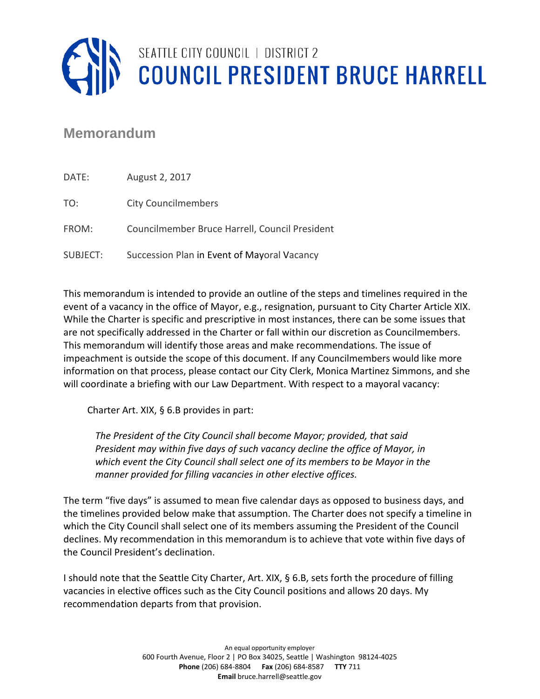

## **Memorandum**

| DATE:    | August 2, 2017                                 |
|----------|------------------------------------------------|
| TO:      | <b>City Councilmembers</b>                     |
| FROM:    | Councilmember Bruce Harrell, Council President |
| SUBJECT: | Succession Plan in Event of Mayoral Vacancy    |

This memorandum is intended to provide an outline of the steps and timelines required in the event of a vacancy in the office of Mayor, e.g., resignation, pursuant to City Charter Article XIX. While the Charter is specific and prescriptive in most instances, there can be some issues that are not specifically addressed in the Charter or fall within our discretion as Councilmembers. This memorandum will identify those areas and make recommendations. The issue of impeachment is outside the scope of this document. If any Councilmembers would like more information on that process, please contact our City Clerk, Monica Martinez Simmons, and she will coordinate a briefing with our Law Department. With respect to a mayoral vacancy:

Charter Art. XIX, § 6.B provides in part:

*The President of the City Council shall become Mayor; provided, that said President may within five days of such vacancy decline the office of Mayor, in which event the City Council shall select one of its members to be Mayor in the manner provided for filling vacancies in other elective offices.* 

The term "five days" is assumed to mean five calendar days as opposed to business days, and the timelines provided below make that assumption. The Charter does not specify a timeline in which the City Council shall select one of its members assuming the President of the Council declines. My recommendation in this memorandum is to achieve that vote within five days of the Council President's declination.

I should note that the Seattle City Charter, Art. XIX, § 6.B, sets forth the procedure of filling vacancies in elective offices such as the City Council positions and allows 20 days. My recommendation departs from that provision.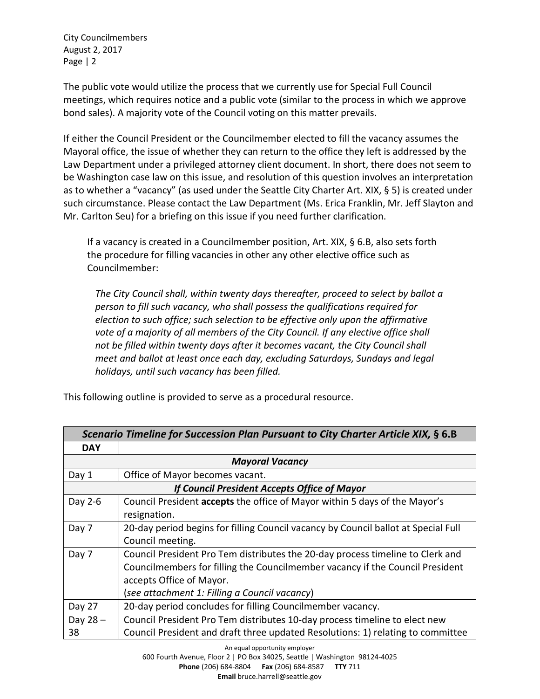City Councilmembers August 2, 2017 Page | 2

The public vote would utilize the process that we currently use for Special Full Council meetings, which requires notice and a public vote (similar to the process in which we approve bond sales). A majority vote of the Council voting on this matter prevails.

If either the Council President or the Councilmember elected to fill the vacancy assumes the Mayoral office, the issue of whether they can return to the office they left is addressed by the Law Department under a privileged attorney client document. In short, there does not seem to be Washington case law on this issue, and resolution of this question involves an interpretation as to whether a "vacancy" (as used under the Seattle City Charter Art. XIX, § 5) is created under such circumstance. Please contact the Law Department (Ms. Erica Franklin, Mr. Jeff Slayton and Mr. Carlton Seu) for a briefing on this issue if you need further clarification.

If a vacancy is created in a Councilmember position, Art. XIX, § 6.B, also sets forth the procedure for filling vacancies in other any other elective office such as Councilmember:

*The City Council shall, within twenty days thereafter, proceed to select by ballot a person to fill such vacancy, who shall possess the qualifications required for election to such office; such selection to be effective only upon the affirmative vote of a majority of all members of the City Council. If any elective office shall not be filled within twenty days after it becomes vacant, the City Council shall meet and ballot at least once each day, excluding Saturdays, Sundays and legal holidays, until such vacancy has been filled.* 

| Scenario Timeline for Succession Plan Pursuant to City Charter Article XIX, § 6.B |                                                                                    |  |
|-----------------------------------------------------------------------------------|------------------------------------------------------------------------------------|--|
| <b>DAY</b>                                                                        |                                                                                    |  |
| <b>Mayoral Vacancy</b>                                                            |                                                                                    |  |
| Day 1                                                                             | Office of Mayor becomes vacant.                                                    |  |
| If Council President Accepts Office of Mayor                                      |                                                                                    |  |
| Day 2-6                                                                           | Council President accepts the office of Mayor within 5 days of the Mayor's         |  |
|                                                                                   | resignation.                                                                       |  |
| Day 7                                                                             | 20-day period begins for filling Council vacancy by Council ballot at Special Full |  |
|                                                                                   | Council meeting.                                                                   |  |
| Day 7                                                                             | Council President Pro Tem distributes the 20-day process timeline to Clerk and     |  |
|                                                                                   | Councilmembers for filling the Councilmember vacancy if the Council President      |  |
|                                                                                   | accepts Office of Mayor.                                                           |  |
|                                                                                   | (see attachment 1: Filling a Council vacancy)                                      |  |
| Day 27                                                                            | 20-day period concludes for filling Councilmember vacancy.                         |  |
| Day 28-                                                                           | Council President Pro Tem distributes 10-day process timeline to elect new         |  |
| 38                                                                                | Council President and draft three updated Resolutions: 1) relating to committee    |  |

This following outline is provided to serve as a procedural resource.

**Phone** (206) 684-8804 **Fax** (206) 684-8587 **TTY** 711

**Email** bruce.harrell@seattle.gov

An equal opportunity employer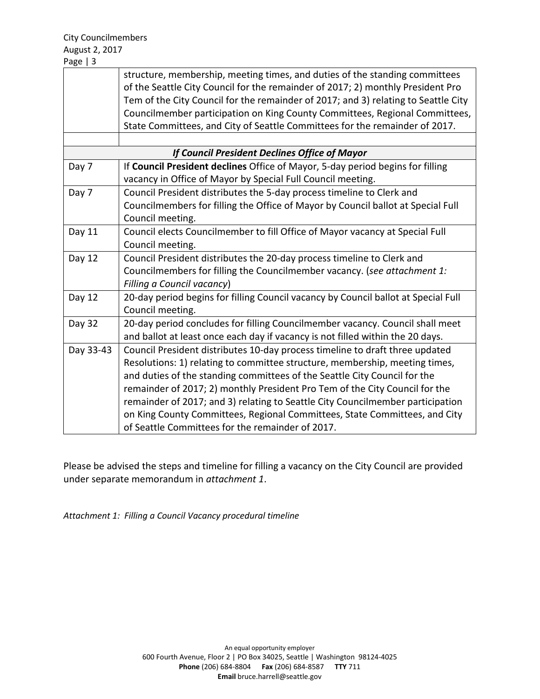|                                               | structure, membership, meeting times, and duties of the standing committees        |  |
|-----------------------------------------------|------------------------------------------------------------------------------------|--|
|                                               | of the Seattle City Council for the remainder of 2017; 2) monthly President Pro    |  |
|                                               | Tem of the City Council for the remainder of 2017; and 3) relating to Seattle City |  |
|                                               | Councilmember participation on King County Committees, Regional Committees,        |  |
|                                               | State Committees, and City of Seattle Committees for the remainder of 2017.        |  |
|                                               |                                                                                    |  |
| If Council President Declines Office of Mayor |                                                                                    |  |
| Day 7                                         | If Council President declines Office of Mayor, 5-day period begins for filling     |  |
|                                               | vacancy in Office of Mayor by Special Full Council meeting.                        |  |
| Day 7                                         | Council President distributes the 5-day process timeline to Clerk and              |  |
|                                               | Councilmembers for filling the Office of Mayor by Council ballot at Special Full   |  |
|                                               | Council meeting.                                                                   |  |
| Day 11                                        | Council elects Councilmember to fill Office of Mayor vacancy at Special Full       |  |
|                                               | Council meeting.                                                                   |  |
| Day 12                                        | Council President distributes the 20-day process timeline to Clerk and             |  |
|                                               | Councilmembers for filling the Councilmember vacancy. (see attachment 1:           |  |
|                                               | Filling a Council vacancy)                                                         |  |
| Day 12                                        | 20-day period begins for filling Council vacancy by Council ballot at Special Full |  |
|                                               | Council meeting.                                                                   |  |
| Day 32                                        | 20-day period concludes for filling Councilmember vacancy. Council shall meet      |  |
|                                               | and ballot at least once each day if vacancy is not filled within the 20 days.     |  |
| Day 33-43                                     | Council President distributes 10-day process timeline to draft three updated       |  |
|                                               | Resolutions: 1) relating to committee structure, membership, meeting times,        |  |
|                                               | and duties of the standing committees of the Seattle City Council for the          |  |
|                                               | remainder of 2017; 2) monthly President Pro Tem of the City Council for the        |  |
|                                               | remainder of 2017; and 3) relating to Seattle City Councilmember participation     |  |
|                                               | on King County Committees, Regional Committees, State Committees, and City         |  |
|                                               | of Seattle Committees for the remainder of 2017.                                   |  |

Please be advised the steps and timeline for filling a vacancy on the City Council are provided under separate memorandum in *attachment 1*.

*Attachment 1: Filling a Council Vacancy procedural timeline*